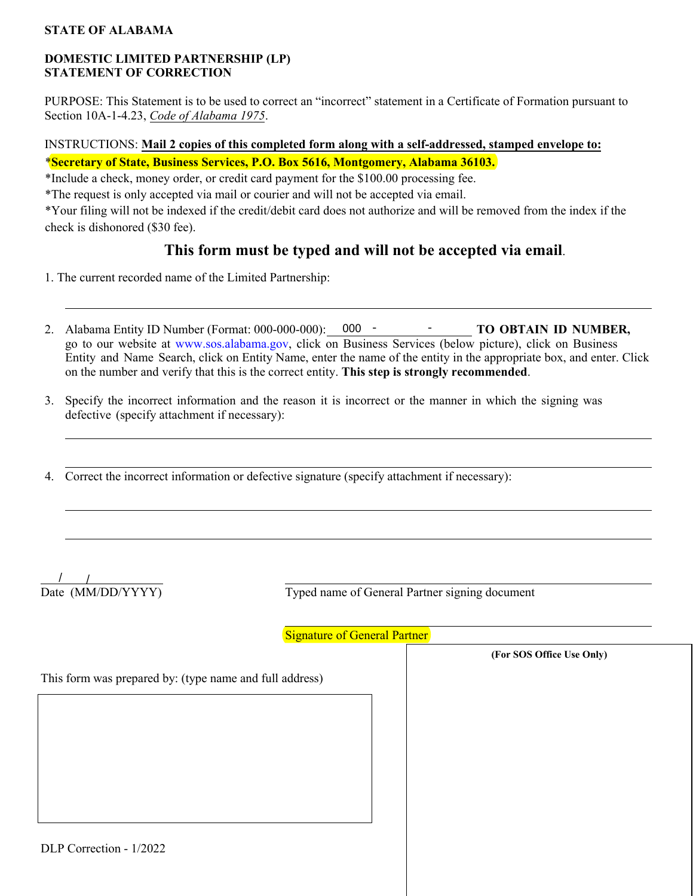#### **STATE OF ALABAMA**

### **DOMESTIC LIMITED PARTNERSHIP (LP) STATEMENT OF CORRECTION**

PURPOSE: This Statement is to be used to correct an "incorrect" statement in a Certificate of Formation pursuant to Section 10A-1-4.23, *Code of Alabama 1975*.

## INSTRUCTIONS: **Mail 2 copies of this completed form along with a self-addressed, stamped envelope to:** \***Secretary of State, Business Services, P.O. Box 5616, Montgomery, Alabama 36103.**

\*Include a check, money order, or credit card payment for the \$100.00 processing fee.

\*The request is only accepted via mail or courier and will not be accepted via email.

\*Your filing will not be indexed if the credit/debit card does not authorize and will be removed from the index if the check is dishonored (\$30 fee).

# **This form must be typed and will not be accepted via email**.

- 1. The current recorded name of the Limited Partnership:
- 2. Alabama Entity ID Number (Format: 000-000-000): 000 TO OBTAIN ID NUMBER, go to our website at [www.sos.alabama.gov](https://www.sos.alabama.gov/), click on Business Services (below picture), click on Business Entity and Name Search, click on Entity Name, enter the name of the entity in the appropriate box, and enter. Click on the number and verify that this is the correct entity. **This step is strongly recommended**.
- 3. Specify the incorrect information and the reason it is incorrect or the manner in which the signing was defective (specify attachment if necessary):
- 4. Correct the incorrect information or defective signature (specify attachment if necessary):

Date (MM/DD/YYYY)

Typed name of General Partner signing document

**(For SOS Office Use Only)**

**Signature of General Partner** 

This form was prepared by: (type name and full address)

DLP Correction - 1/2022